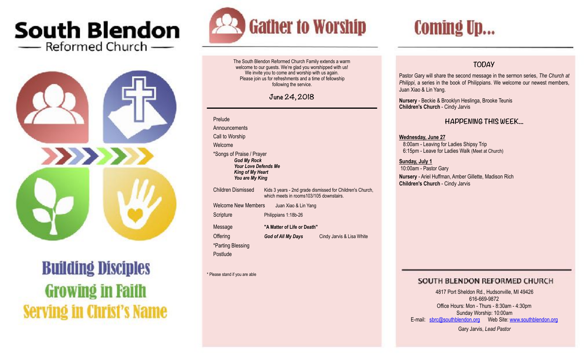



**Building Disciples Growing in Faith Serving in Christ's Name** 



The South Blendon Reformed Church Family extends a warm welcome to our guests. We're glad you worshipped with us! We invite you to come and worship with us again. Please join us for refreshments and a time of fellowship following the service.

**June 24, 2018** 

#### Prelude Announcements Call to Worship Welcome \*Songs of Praise / Prayer *God My Rock Your Love Defends Me King of My Heart You are My King*  Children Dismissed Kids 3 years - 2nd grade dismissed for Children's Church, which meets in rooms103/105 downstairs. Welcome New Members Juan Xiao & Lin Yang ScripturePhilippians 1:18b-26 Message **"A Matter of Life or Death"** Offering **God of All My Days** Cindy Jarvis & Lisa White \*Parting Blessing **Postlude**

\* Please stand if you are able

# **Coming Up...**

## **TODAY**

Pastor Gary will share the second message in the sermon series, *The Church at Philippi*, a series in the book of Philippians. We welcome our newest members, Juan Xiao & Lin Yang.

**Nursery** - Beckie & Brooklyn Heslinga, Brooke Teunis **Children's Church** - Cindy Jarvis

## **HAPPENING THIS WEEK...**

**Wednesday, June 27**  8:00am - Leaving for Ladies Shipsy Trip 6:15pm - Leave for Ladies Walk (Meet at Church)

**Sunday, July 1** 10:00am - Pastor Gary **Nursery** - Ariel Huffman, Amber Gillette, Madison Rich **Children's Church** - Cindy Jarvis

#### SOUTH BLENDON REFORMED CHURCH

4817 Port Sheldon Rd., Hudsonville, MI 49426 616-669-9872 Office Hours: Mon - Thurs - 8:30am - 4:30pm Sunday Worship: 10:00am E-mail: [sbrc@southblendon.org](mailto:sbrc@southblendon.org) Web Site: [www.southblendon.org](http://www.southblendon.org)

Gary Jarvis, *Lead Pastor*